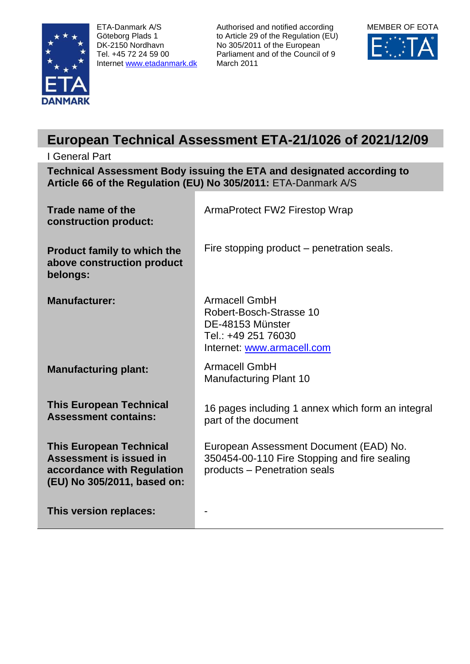

ETA-Danmark A/S Göteborg Plads 1 DK-2150 Nordhavn Tel. +45 72 24 59 00 Internet [www.etadanmark.dk](http://www.etadanmark.dk/) Authorised and notified according to Article 29 of the Regulation (EU) No 305/2011 of the European Parliament and of the Council of 9 March 2011



# **European Technical Assessment ETA-21/1026 of 2021/12/09**

# I General Part **Technical Assessment Body issuing the ETA and designated according to Article 66 of the Regulation (EU) No 305/2011:** ETA-Danmark A/S

| Trade name of the<br>construction product:                                                                             | ArmaProtect FW2 Firestop Wrap                                                                                            |
|------------------------------------------------------------------------------------------------------------------------|--------------------------------------------------------------------------------------------------------------------------|
| <b>Product family to which the</b><br>above construction product<br>belongs:                                           | Fire stopping product – penetration seals.                                                                               |
| <b>Manufacturer:</b>                                                                                                   | <b>Armacell GmbH</b><br>Robert-Bosch-Strasse 10<br>DE-48153 Münster<br>Tel.: +49 251 76030<br>Internet: www.armacell.com |
| <b>Manufacturing plant:</b>                                                                                            | <b>Armacell GmbH</b><br><b>Manufacturing Plant 10</b>                                                                    |
| <b>This European Technical</b><br><b>Assessment contains:</b>                                                          | 16 pages including 1 annex which form an integral<br>part of the document                                                |
| <b>This European Technical</b><br>Assessment is issued in<br>accordance with Regulation<br>(EU) No 305/2011, based on: | European Assessment Document (EAD) No.<br>350454-00-110 Fire Stopping and fire sealing<br>products - Penetration seals   |
| This version replaces:                                                                                                 |                                                                                                                          |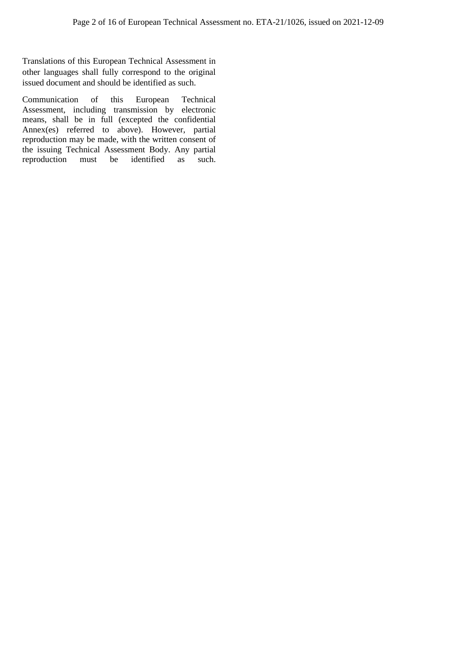Translations of this European Technical Assessment in other languages shall fully correspond to the original issued document and should be identified as such.

Communication of this European Technical Assessment, including transmission by electronic means, shall be in full (excepted the confidential Annex(es) referred to above). However, partial reproduction may be made, with the written consent of the issuing Technical Assessment Body. Any partial reproduction must be identified as such. must be identified as such.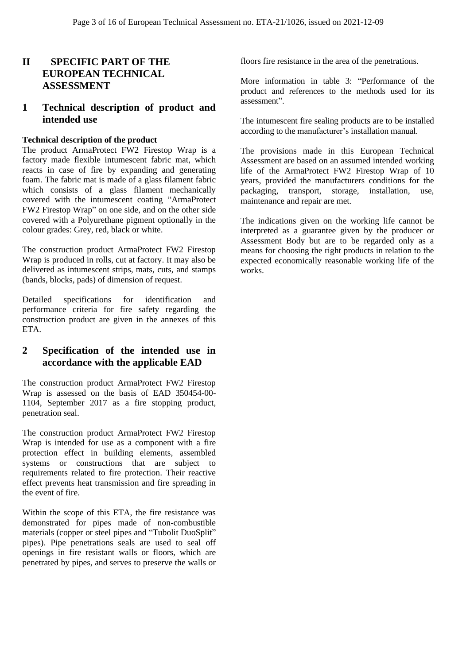# **II SPECIFIC PART OF THE EUROPEAN TECHNICAL ASSESSMENT**

# **1 Technical description of product and intended use**

#### **Technical description of the product**

The product ArmaProtect FW2 Firestop Wrap is a factory made flexible intumescent fabric mat, which reacts in case of fire by expanding and generating foam. The fabric mat is made of a glass filament fabric which consists of a glass filament mechanically covered with the intumescent coating "ArmaProtect FW2 Firestop Wrap" on one side, and on the other side covered with a Polyurethane pigment optionally in the colour grades: Grey, red, black or white.

The construction product ArmaProtect FW2 Firestop Wrap is produced in rolls, cut at factory. It may also be delivered as intumescent strips, mats, cuts, and stamps (bands, blocks, pads) of dimension of request.

Detailed specifications for identification and performance criteria for fire safety regarding the construction product are given in the annexes of this ETA.

# **2 Specification of the intended use in accordance with the applicable EAD**

The construction product ArmaProtect FW2 Firestop Wrap is assessed on the basis of EAD 350454-00- 1104, September 2017 as a fire stopping product, penetration seal.

The construction product ArmaProtect FW2 Firestop Wrap is intended for use as a component with a fire protection effect in building elements, assembled systems or constructions that are subject to requirements related to fire protection. Their reactive effect prevents heat transmission and fire spreading in the event of fire.

Within the scope of this ETA, the fire resistance was demonstrated for pipes made of non-combustible materials (copper or steel pipes and "Tubolit DuoSplit" pipes). Pipe penetrations seals are used to seal off openings in fire resistant walls or floors, which are penetrated by pipes, and serves to preserve the walls or floors fire resistance in the area of the penetrations.

More information in table 3: "Performance of the product and references to the methods used for its assessment".

The intumescent fire sealing products are to be installed according to the manufacturer's installation manual.

The provisions made in this European Technical Assessment are based on an assumed intended working life of the ArmaProtect FW2 Firestop Wrap of 10 years, provided the manufacturers conditions for the packaging, transport, storage, installation, use, maintenance and repair are met.

The indications given on the working life cannot be interpreted as a guarantee given by the producer or Assessment Body but are to be regarded only as a means for choosing the right products in relation to the expected economically reasonable working life of the works.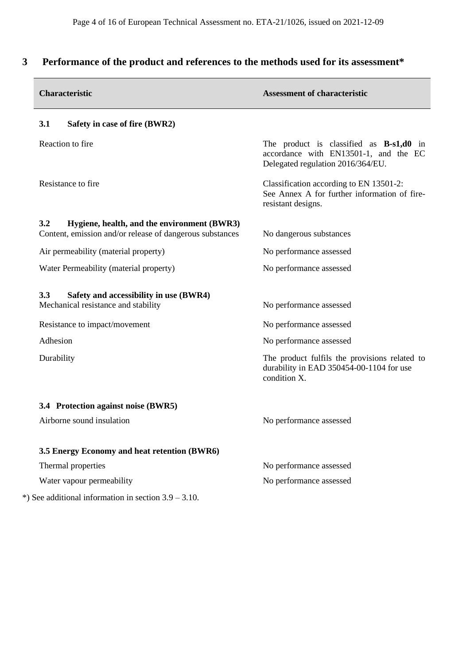# **3 Performance of the product and references to the methods used for its assessment\***

| <b>Characteristic</b>                                                                | <b>Assessment of characteristic</b>                                                                                     |
|--------------------------------------------------------------------------------------|-------------------------------------------------------------------------------------------------------------------------|
| 3.1<br>Safety in case of fire (BWR2)                                                 |                                                                                                                         |
| Reaction to fire                                                                     | The product is classified as $B-s1,d0$ in<br>accordance with EN13501-1, and the EC<br>Delegated regulation 2016/364/EU. |
| Resistance to fire                                                                   | Classification according to EN 13501-2:<br>See Annex A for further information of fire-<br>resistant designs.           |
| 3.2<br>Hygiene, health, and the environment (BWR3)                                   |                                                                                                                         |
| Content, emission and/or release of dangerous substances                             | No dangerous substances                                                                                                 |
| Air permeability (material property)                                                 | No performance assessed                                                                                                 |
| Water Permeability (material property)                                               | No performance assessed                                                                                                 |
| 3.3<br>Safety and accessibility in use (BWR4)<br>Mechanical resistance and stability | No performance assessed                                                                                                 |
| Resistance to impact/movement                                                        | No performance assessed                                                                                                 |
| Adhesion                                                                             | No performance assessed                                                                                                 |
| Durability                                                                           | The product fulfils the provisions related to<br>durability in EAD 350454-00-1104 for use<br>condition X.               |
| 3.4 Protection against noise (BWR5)                                                  |                                                                                                                         |
| Airborne sound insulation                                                            | No performance assessed                                                                                                 |
| 3.5 Energy Economy and heat retention (BWR6)                                         |                                                                                                                         |
| Thermal properties                                                                   | No performance assessed                                                                                                 |
| Water vapour permeability                                                            | No performance assessed                                                                                                 |
| *) See additional information in section $3.9 - 3.10$ .                              |                                                                                                                         |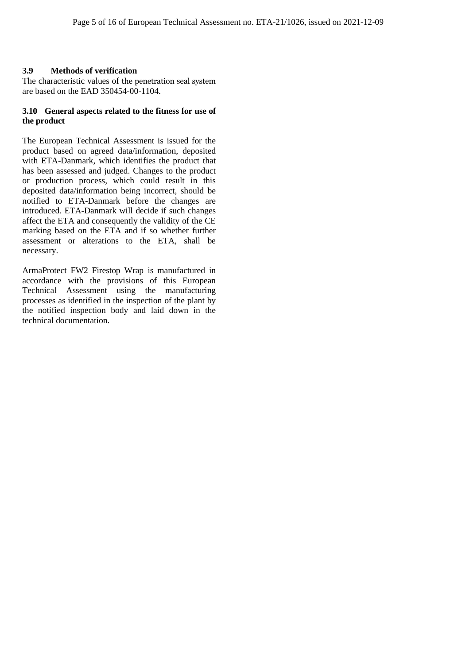## **3.9 Methods of verification**

The characteristic values of the penetration seal system are based on the EAD 350454-00-1104.

#### **3.10 General aspects related to the fitness for use of the product**

The European Technical Assessment is issued for the product based on agreed data/information, deposited with ETA-Danmark, which identifies the product that has been assessed and judged. Changes to the product or production process, which could result in this deposited data/information being incorrect, should be notified to ETA-Danmark before the changes are introduced. ETA-Danmark will decide if such changes affect the ETA and consequently the validity of the CE marking based on the ETA and if so whether further assessment or alterations to the ETA, shall be necessary.

ArmaProtect FW2 Firestop Wrap is manufactured in accordance with the provisions of this European Technical Assessment using the manufacturing processes as identified in the inspection of the plant by the notified inspection body and laid down in the technical documentation.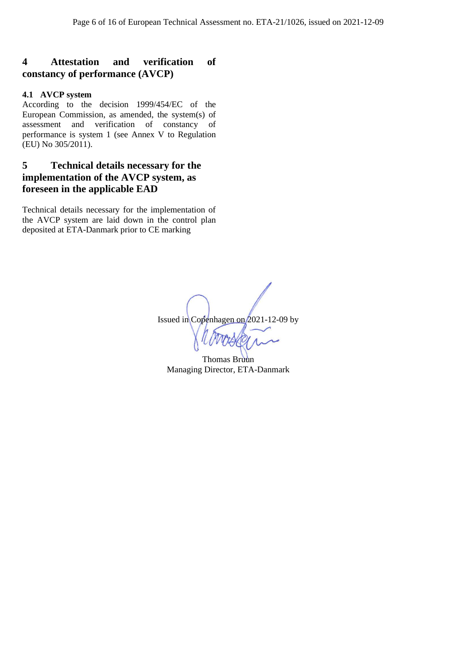# **4 Attestation and verification of constancy of performance (AVCP)**

## **4.1 AVCP system**

According to the decision 1999/454/EC of the European Commission, as amended, the system(s) of assessment and verification of constancy of performance is system 1 (see Annex V to Regulation (EU) No 305/2011).

# **5 Technical details necessary for the implementation of the AVCP system, as foreseen in the applicable EAD**

Technical details necessary for the implementation of the AVCP system are laid down in the control plan deposited at ETA-Danmark prior to CE marking

Issued in Copenhagen on 2021-12-09 by

Thomas Bruun Managing Director, ETA-Danmark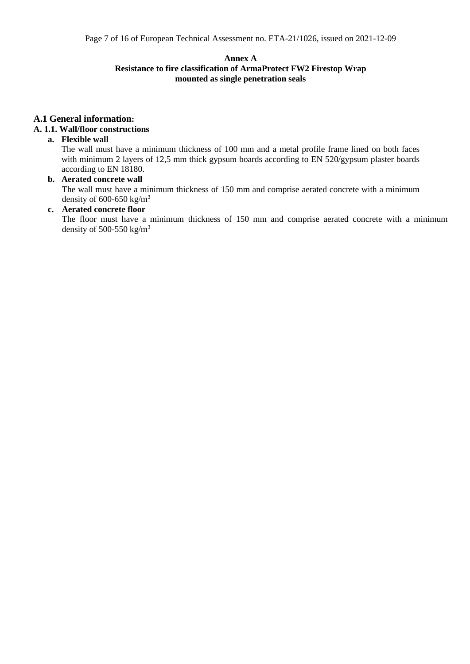#### **Annex A**

#### **Resistance to fire classification of ArmaProtect FW2 Firestop Wrap mounted as single penetration seals**

# **A.1 General information:**

## **A. 1.1. Wall/floor constructions**

#### **a. Flexible wall**

The wall must have a minimum thickness of 100 mm and a metal profile frame lined on both faces with minimum 2 layers of 12,5 mm thick gypsum boards according to EN 520/gypsum plaster boards according to EN 18180.

# **b. Aerated concrete wall**

The wall must have a minimum thickness of 150 mm and comprise aerated concrete with a minimum density of  $600-650$  kg/m<sup>3</sup>

#### **c. Aerated concrete floor**

The floor must have a minimum thickness of 150 mm and comprise aerated concrete with a minimum density of 500-550 kg/ $m<sup>3</sup>$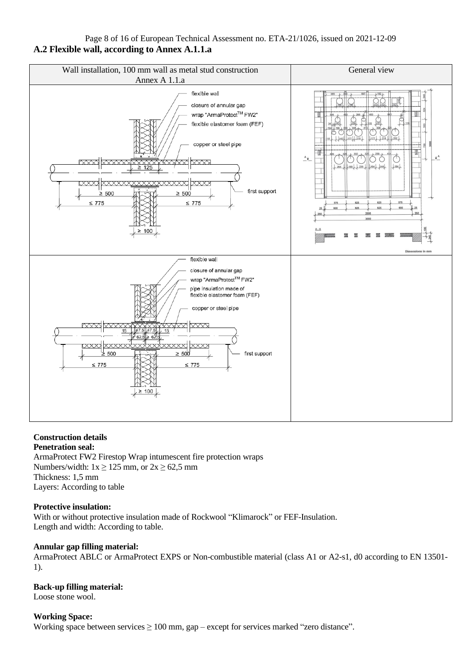# Page 8 of 16 of European Technical Assessment no. ETA-21/1026, issued on 2021-12-09 **A.2 Flexible wall, according to Annex A.1.1.a**



# **Construction details**

**Penetration seal:**  ArmaProtect FW2 Firestop Wrap intumescent fire protection wraps Numbers/width:  $1x \ge 125$  mm, or  $2x \ge 62.5$  mm Thickness: 1,5 mm Layers: According to table

## **Protective insulation:**

With or without protective insulation made of Rockwool "Klimarock" or FEF-Insulation. Length and width: According to table.

#### **Annular gap filling material:**

ArmaProtect ABLC or ArmaProtect EXPS or Non-combustible material (class A1 or A2-s1, d0 according to EN 13501- 1).

#### **Back-up filling material:**

Loose stone wool.

#### **Working Space:**

Working space between services  $\geq 100$  mm, gap – except for services marked "zero distance".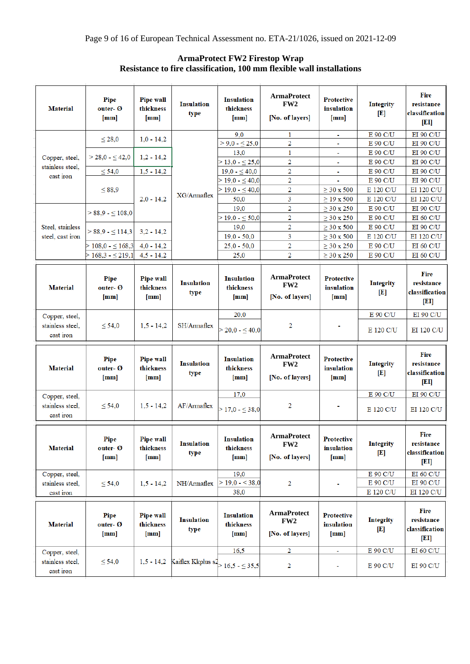| <b>Material</b>                    | Pipe<br>outer- Ø<br>[mm] | Pipe wall<br>thickness<br>${\rm [mm]}$        | <b>Insulation</b><br>type                 | <b>Insulation</b><br>thickness<br>[mm]         | <b>ArmaProtect</b><br>FW <sub>2</sub><br>[No. of layers] | <b>Protective</b><br>insulation<br>${\rm [mm]}$ | <b>Integrity</b><br>$\mathbf{[E]}$ | <b>Fire</b><br>resistance<br>classification<br>[E1]            |
|------------------------------------|--------------------------|-----------------------------------------------|-------------------------------------------|------------------------------------------------|----------------------------------------------------------|-------------------------------------------------|------------------------------------|----------------------------------------------------------------|
|                                    |                          |                                               |                                           | 9.0                                            | 1                                                        | ۰                                               | E 90 C/U                           | <b>EI 90 C/U</b>                                               |
|                                    | $\leq 28,0$              | $1,0 - 14,2$                                  |                                           | $> 9,0 - 525,0$                                | 2                                                        | ä,                                              | E 90 C/U                           | <b>EI 90 C/U</b>                                               |
|                                    | $>$ 28,0 - $\leq$ 42,0   | $1,2 - 14,2$                                  |                                           | 13,0                                           | $\mathbf{1}$                                             | ä,                                              | E 90 C/U                           | <b>EI 90 C/U</b>                                               |
| Copper, steel,<br>stainless steel. |                          |                                               |                                           | $>$ 13,0 - $\leq$ 25,0                         | $\overline{\mathbf{2}}$                                  | i.                                              | E 90 C/U                           | EI 90 C/U                                                      |
| cast iron                          | $\leq 54.0$              | $1,5 - 14,2$                                  |                                           | $19,0 - 540,0$                                 | $\overline{2}$                                           | ÷                                               | E 90 C/U                           | EI 90 C/U                                                      |
|                                    |                          |                                               |                                           | $> 19,0 - \leq 40,0$                           | $\overline{2}$                                           |                                                 | E 90 C/U                           | <b>EI 90 C/U</b>                                               |
|                                    | $\leq 88,9$              |                                               | $XG/A$ rmaflex                            | $>$ 19,0 - $\leq$ 40,0                         | $\overline{2}$                                           | $\geq$ 30 x 500                                 | E 120 C/U                          | EI 120 C/U                                                     |
|                                    |                          | $2.0 - 14.2$                                  |                                           | 50,0                                           | 3                                                        | $\geq$ 19 x 500                                 | E 120 C/U                          | EI 120 C/U                                                     |
|                                    | $> 88,9 - 5108,0$        |                                               |                                           | 19,0                                           | $\overline{2}$                                           | $\geq$ 30 x 250                                 | E 90 C/U                           | <b>EI 90 C/U</b>                                               |
|                                    |                          |                                               |                                           | $>$ 19,0 - $\leq$ 50,0                         | 2                                                        | $\geq$ 30 x 250                                 | E 90 C/U                           | <b>EI 60 C/U</b>                                               |
| Steel, stainless                   | $> 88,9 - 114,3$         | $3,2 - 14,2$                                  |                                           | 19,0                                           | $\overline{2}$                                           | $\geq$ 30 x 500                                 | E 90 C/U                           | <b>EI 90 C/U</b>                                               |
| steel, cast iron                   |                          |                                               |                                           | $19,0 - 50,0$                                  | 3                                                        | $\geq$ 30 x 500                                 | E 120 C/U                          | EI 120 C/U                                                     |
|                                    | $>$ 108,0 - $\leq$ 168,3 | $4,0 - 14,2$                                  |                                           | $25,0 - 50,0$                                  | $\overline{2}$                                           | $\geq$ 30 x 250                                 | E 90 C/U                           | EI 60 C/U                                                      |
|                                    | $>$ 168,3 - $\leq$ 219,1 | $4,5 - 14,2$                                  |                                           | 25,0                                           | $\overline{2}$                                           | $\geq$ 30 x 250                                 | E 90 C/U                           | EI 60 C/U                                                      |
| <b>Material</b>                    | Pipe<br>outer- Ø<br>[mm] | <b>Pipe wall</b><br>thickness<br>${\rm [mm]}$ | <b>Insulation</b><br>type                 | <b>Insulation</b><br>thickness<br>[mm]         | <b>ArmaProtect</b><br>FW <sub>2</sub><br>[No. of layers] | <b>Protective</b><br>insulation<br>[mm]         | <b>Integrity</b><br>$\mathbf{E}$   | <b>Fire</b><br>resistance<br>classification<br>[EI]            |
| Copper, steel,                     |                          |                                               |                                           | 20,0                                           |                                                          |                                                 | E 90 C/U                           | <b>EI 90 C/U</b>                                               |
| stainless steel.<br>cast iron      | < 54.0                   | $1,5 - 14,2$                                  | SH/Armaflex                               | $>$ 20,0 - $\leq$ 40,0                         | 2                                                        |                                                 | E 120 C/U                          | EI 120 C/U                                                     |
| <b>Material</b>                    | Pipe<br>outer- Ø<br>[mm] | Pipe wall<br>thickness<br>${\rm [mm]}$        | <b>Insulation</b><br>type                 | <b>Insulation</b><br>thickness<br>[mm]         | <b>ArmaProtect</b><br>FW <sub>2</sub><br>[No. of layers] | <b>Protective</b><br>insulation<br>${\rm [mm]}$ | Integrity<br> E                    | <b>Fire</b><br>resistance<br>classification<br>[EI]            |
| Copper, steel,                     |                          |                                               |                                           | 17,0                                           |                                                          |                                                 | E 90 C/U                           | <b>EI 90 C/U</b>                                               |
| stainless steel.<br>cast iron      | $\leq 54,0$              | $1,5 - 14,2$                                  | AF/Armaflex                               | $>$ 17,0 - $\leq$ 38,0                         | 2                                                        |                                                 | E 120 C/U                          | EI 120 C/U                                                     |
| <b>Material</b>                    | Pipe<br>outer- Ø<br>[mm] | <b>Pipe wall</b><br>thickness<br>[mm]         | <b>Insulation</b><br>type                 | <b>Insulation</b><br>thickness<br>${\rm [mm]}$ | <b>ArmaProtect</b><br>FW <sub>2</sub><br>[No. of layers] | <b>Protective</b><br>insulation<br>[mm]         | <b>Integrity</b><br>$\mathbf{[E]}$ | <b>Fire</b><br>resistance<br>classification<br>$\mathbf{[EI]}$ |
| Copper, steel,                     |                          |                                               |                                           | 19,0                                           |                                                          |                                                 | E 90 C/U                           | EI 60 C/U                                                      |
| stainless steel,                   | $\leq 54,0$              | $1,5 - 14,2$                                  | NH/Armaflex                               | $>$ 19,0 - < 38,0                              | 2                                                        |                                                 | E 90 C/U                           | EI 90 C/U                                                      |
| cast iron                          |                          |                                               |                                           | 38,0                                           |                                                          |                                                 | E 120 C/U                          | EI 120 C/U                                                     |
| <b>Material</b>                    | Pipe<br>outer- Ø<br>[mm] | Pipe wall<br>thickness<br>[mm]                | <b>Insulation</b><br>type                 | <b>Insulation</b><br>thickness<br>[mm]         | <b>ArmaProtect</b><br>FW2<br>[No. of layers]             | <b>Protective</b><br>insulation<br>[mm]         | <b>Integrity</b><br>$\mathbf{[E]}$ | Fire<br>resistance<br>classification<br>[EI]                   |
| Copper, steel,                     |                          |                                               |                                           | 16,5                                           | 2                                                        | ۰                                               | E 90 C/U                           | EI 60 C/U                                                      |
| stainless steel,<br>cast iron      | $\leq 54,0$              | $1,5 - 14,2$                                  | Kaiflex Kkplus $s^2$ > 16,5 - $\leq$ 35,5 |                                                | $\overline{2}$                                           | ۰                                               | E 90 C/U                           | <b>EI 90 C/U</b>                                               |

## **ArmaProtect FW2 Firestop Wrap Resistance to fire classification, 100 mm flexible wall installations**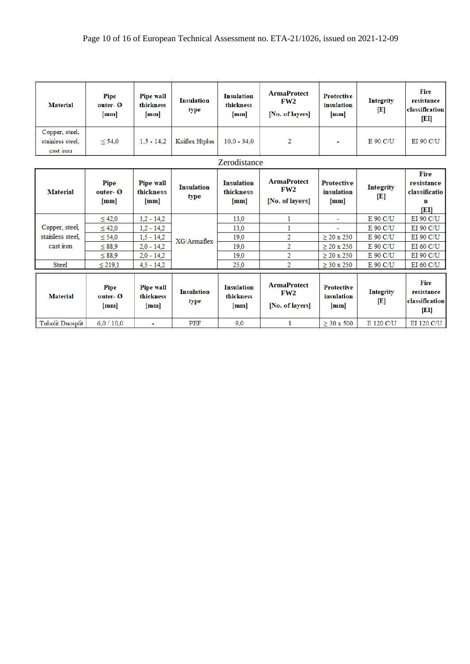| <b>Material</b>                                 | Pipe<br>outer- $\boldsymbol{\varnothing}$<br>[mm] | <b>Pipe wall</b><br>thickness<br>[mm] | <b>Insulation</b><br>type | <b>Insulation</b><br>thickness<br>[mm] | <b>ArmaProtect</b><br>FW2<br>[No. of layers] | <b>Protective</b><br>insulation<br>[mm] | <b>Integrity</b><br>$\mathbf{[E]}$ | Fire<br>resistance<br>classification<br> D              |
|-------------------------------------------------|---------------------------------------------------|---------------------------------------|---------------------------|----------------------------------------|----------------------------------------------|-----------------------------------------|------------------------------------|---------------------------------------------------------|
| Copper, steel,<br>stainless steel.<br>cast iron | < 54.0                                            | $1.5 - 14.2$                          | Kaiflex Htplus            | $10.0 - 34.0$                          | 2                                            | ÷                                       | E 90 C/U                           | <b>EI 90 C/U</b>                                        |
|                                                 |                                                   |                                       |                           | Zerodistance                           |                                              |                                         |                                    |                                                         |
| <b>Material</b>                                 | Pipe<br>outer- Ø<br>[mm]                          | Pipe wall<br>thickness<br>[mm]        | <b>Insulation</b><br>type | <b>Insulation</b><br>thickness<br>[mm] | <b>ArmaProtect</b><br>FW2<br>[No. of layers] | <b>Protective</b><br>insulation<br>[mm] | <b>Integrity</b><br>ŒТ             | <b>Fire</b><br>resistance<br>classificatio<br>n<br>ſЕIJ |
| Copper, steel,                                  | $\leq 42.0$                                       | $1,2 - 14,2$                          |                           | 13.0                                   | 1<br>1                                       | ÷                                       | E 90 C/U<br>E 90 C/U               | EI 90 C/U<br>EI 90 C/U                                  |
| stainless steel.                                | $\leq 42.0$<br>$\leq 54.0$                        | $1,2 - 14,2$<br>$1,5 - 14,2$          | XG/Armaflex               | 13,0<br>19,0                           | 2                                            | L.<br>$\geq$ 20 x 250                   | E 90 C/U                           | EI 90 C/U                                               |
| cast iron                                       | $\leq$ 88.9                                       | $2,0 - 14,2$                          |                           | 19,0                                   | 2                                            | $> 20 \times 250$                       | E 90 C/U                           | $EI$ 60 $C/U$                                           |
| <b>Steel</b>                                    | $\leq 88.9$<br>$\leq 219.1$                       | $2,0 - 14,2$<br>$4.5 - 14.2$          |                           | 19.0<br>25.0                           | $\overline{2}$<br>2                          | $\geq$ 20 x 250<br>$\geq$ 30 x 250      | E 90 C/U<br>E 90 C/U               | EI 90 C/U<br>EI 60 C/U                                  |
| <b>Material</b>                                 | Pipe<br>outer- Ø<br>[mm]                          | <b>Pipe wall</b><br>thickness<br>[mm] | <b>Insulation</b><br>type | <b>Insulation</b><br>thickness<br>[mm] | <b>ArmaProtect</b><br>FW2<br>[No. of layers] | <b>Protective</b><br>insulation<br>[mm] | <b>Integrity</b><br>$\mathbf{E}$   | <b>Fire</b><br>resistance<br>classification<br>[EI]     |
|                                                 |                                                   |                                       |                           |                                        |                                              |                                         |                                    |                                                         |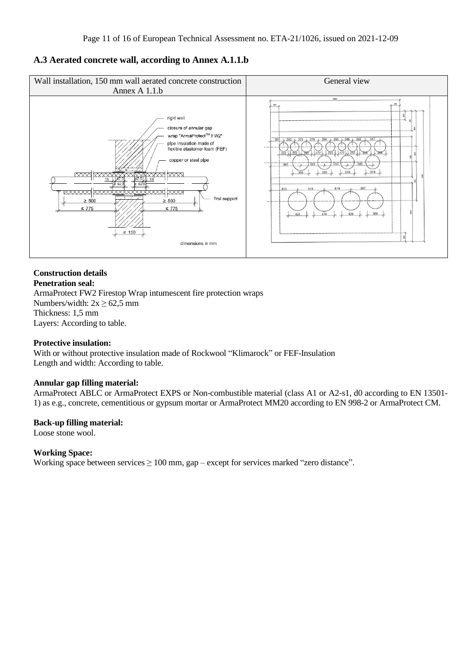## **A.3 Aerated concrete wall, according to Annex A.1.1.b**



#### **Construction details Penetration seal:**

ArmaProtect FW2 Firestop Wrap intumescent fire protection wraps Numbers/width:  $2x \ge 62,5$  mm Thickness: 1,5 mm Layers: According to table.

#### **Protective insulation:**

With or without protective insulation made of Rockwool "Klimarock" or FEF-Insulation Length and width: According to table.

#### **Annular gap filling material:**

ArmaProtect ABLC or ArmaProtect EXPS or Non-combustible material (class A1 or A2-s1, d0 according to EN 13501- 1) as e.g., concrete, cementitious or gypsum mortar or ArmaProtect MM20 according to EN 998-2 or ArmaProtect CM.

#### **Back-up filling material:**

Loose stone wool.

#### **Working Space:**

Working space between services  $\geq 100$  mm, gap – except for services marked "zero distance".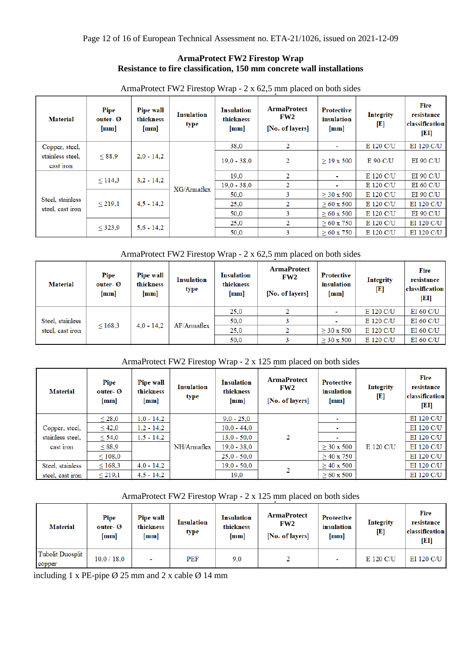### **ArmaProtect FW2 Firestop Wrap Resistance to fire classification, 150 mm concrete wall installations**

| <b>Material</b>               | Pipe<br>outer- Ø<br>[mm] | <b>Pipe wall</b><br>thickness<br>[mm] | <b>Insulation</b><br>type | <b>Insulation</b><br>thickness<br>[mm] | <b>ArmaProtect</b><br>FW <sub>2</sub><br>[No. of layers] | <b>Protective</b><br>insulation<br>[mm] | <b>Integrity</b><br>E | Fire<br>resistance<br>classification<br>[EI] |
|-------------------------------|--------------------------|---------------------------------------|---------------------------|----------------------------------------|----------------------------------------------------------|-----------------------------------------|-----------------------|----------------------------------------------|
| Copper, steel,                |                          |                                       |                           | 38,0                                   | $\overline{2}$                                           | $\mathbf{r}$                            | E 120 C/U             | EI 120 C/U                                   |
| stainless steel,<br>cast iron | < 88.9                   | $2,0 - 14,2$                          | $XG/A$ rmaflex            | $19.0 - 38.0$                          | 2                                                        | $\geq$ 19 x 500                         | E 90 C/U              | <b>EI 90 C/U</b>                             |
|                               | $\leq$ 114,3             | $3,2 - 14,2$                          |                           | 19.0                                   | $\overline{2}$                                           | $\sim$                                  | E 120 C/U             | <b>EI 90 C/U</b>                             |
|                               |                          |                                       |                           | $19.0 - 38.0$                          | 2                                                        | $\sim$                                  | E 120 C/U             | EI 60 C/U                                    |
|                               |                          |                                       |                           | 50.0                                   | 3                                                        | $> 30 \times 500$                       | E 120 C/U             | <b>EI 90 C/U</b>                             |
| Steel, stainless              | $\leq 219.1$             | $4,5 - 14,2$                          |                           | 25.0                                   | 2                                                        | $> 60 \times 500$                       | E 120 C/U             | EI 120 C/U                                   |
| steel, cast iron              |                          |                                       |                           | 50.0                                   | 3                                                        | $> 60 \times 500$                       | E 120 C/U             | <b>EI 90 C/U</b>                             |
|                               |                          |                                       |                           | 25.0                                   | 2                                                        | $> 60 \times 750$                       | E 120 C/U             | EI 120 C/U                                   |
|                               | $\leq 323.9$             | $5.6 - 14.2$                          |                           | 50,0                                   | 3                                                        | $> 60 \times 750$                       | E 120 C/U             | EI 120 C/U                                   |

ArmaProtect FW2 Firestop Wrap - 2 x 62,5 mm placed on both sides

### ArmaProtect FW2 Firestop Wrap - 2 x 62,5 mm placed on both sides

| <b>Material</b>  | Pipe<br>outer- $\boldsymbol{\emptyset}$<br>[mm] | <b>Pipe wall</b><br>thickness<br>[mm] | <b>Insulation</b><br>type | <b>Insulation</b><br>thickness<br>$\lceil$ mm $\rceil$ | <b>ArmaProtect</b><br>FW <sub>2</sub><br>[No. of layers] | <b>Protective</b><br>insulation<br>[mm] | <b>Integrity</b><br>$\mathbf{E}$ | Fire<br>resistance<br>classification<br>[EI] |
|------------------|-------------------------------------------------|---------------------------------------|---------------------------|--------------------------------------------------------|----------------------------------------------------------|-----------------------------------------|----------------------------------|----------------------------------------------|
|                  |                                                 | $4.0 - 14.2$<br>$\leq 168.3$          | $AF/Ar$ maflex            | 25.0                                                   |                                                          |                                         | E 120 C/U                        | EI 60 C/U                                    |
| Steel, stainless |                                                 |                                       |                           | 50,0                                                   |                                                          |                                         | E 120 C/U                        | EI 60 C/U                                    |
| steel, cast iron |                                                 |                                       |                           | 25.0                                                   |                                                          | $\geq$ 30 x 500                         | E 120 C/U                        | EI 60 C/U                                    |
|                  |                                                 |                                       |                           | 50.0                                                   |                                                          | $> 30 \times 500$                       | E 120 C/U                        | EI 60 C/U                                    |

### ArmaProtect FW2 Firestop Wrap - 2 x 125 mm placed on both sides

| <b>Material</b>  | Pipe<br>outer- $\boldsymbol{\varnothing}$<br>[mm] | <b>Pipe wall</b><br>thickness<br>[mm] | <b>Insulation</b><br>type | <b>Insulation</b><br>thickness<br>[mm] | <b>ArmaProtect</b><br>FW <sub>2</sub><br>[No. of layers] | <b>Protective</b><br>insulation<br>[mm] | <b>Integrity</b><br>$\left[ \mathrm{E} \right]$ | Fire<br>resistance<br>classification<br>[EI] |
|------------------|---------------------------------------------------|---------------------------------------|---------------------------|----------------------------------------|----------------------------------------------------------|-----------------------------------------|-------------------------------------------------|----------------------------------------------|
|                  | $\leq 28,0$                                       | $1,0 - 14,2$                          |                           | $9,0 - 25,0$                           |                                                          |                                         |                                                 | EI 120 C/U                                   |
| Copper, steel,   | $\leq 42,0$                                       | $1,2 - 14,2$                          |                           | $10.0 - 44.0$                          |                                                          |                                         |                                                 | EI 120 C/U                                   |
| stainless steel. | < 54,0                                            | $1,5 - 14,2$                          |                           | $13.0 - 50.0$                          | 2                                                        |                                         |                                                 | EI 120 C/U                                   |
| cast iron        | $\leq$ 88,9                                       |                                       | NH/Armaflex               | $19,0 - 38,0$                          |                                                          | $\geq$ 30 x 500                         | E 120 C/U                                       | EI 120 C/U                                   |
|                  | < 108.0                                           |                                       |                           | $25.0 - 50.0$                          |                                                          | $>$ 40 x 750                            |                                                 | EI 120 C/U                                   |
| Steel, stainless | $\leq 168.3$                                      | $4,0 - 14,2$                          |                           | $19.0 - 50.0$                          | 2                                                        | $> 40 \times 500$                       |                                                 | EI 120 C/U                                   |
| steel, cast iron | $\leq 219,1$                                      | $4,5 - 14,2$                          |                           | 19,0                                   |                                                          | $\geq 60 \times 500$                    |                                                 | EI 120 C/U                                   |

### ArmaProtect FW2 Firestop Wrap - 2 x 125 mm placed on both sides

| <b>Material</b>                   | Pipe<br>outer- Ø<br>[mm] | <b>Pipe wall</b><br>thickness<br>[mm] | <b>Insulation</b><br>type | <b>Insulation</b><br>thickness<br>[mm] | <b>ArmaProtect</b><br>FW <sub>2</sub><br>[No. of layers] | <b>Protective</b><br>insulation<br>[mm] | <b>Integrity</b><br>[E] | Fire<br>resistance<br>classification<br>[EI] |
|-----------------------------------|--------------------------|---------------------------------------|---------------------------|----------------------------------------|----------------------------------------------------------|-----------------------------------------|-------------------------|----------------------------------------------|
| <b>Tubolit Duosplit</b><br>copper | 10.0 / 18.0              | $\overline{\phantom{a}}$              | PEF                       | 9,0                                    |                                                          |                                         | E 120 C/U               | EI 120 C/U                                   |

including 1 x PE-pipe  $\varnothing$  25 mm and 2 x cable  $\varnothing$  14 mm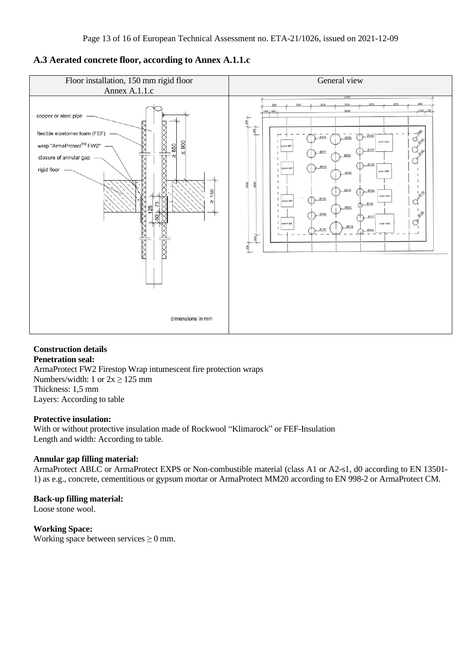# **A.3 Aerated concrete floor, according to Annex A.1.1.c**



#### **Construction details Penetration seal:**

ArmaProtect FW2 Firestop Wrap intumescent fire protection wraps Numbers/width: 1 or  $2x \ge 125$  mm Thickness: 1,5 mm Layers: According to table

#### **Protective insulation:**

With or without protective insulation made of Rockwool "Klimarock" or FEF-Insulation Length and width: According to table.

## **Annular gap filling material:**

ArmaProtect ABLC or ArmaProtect EXPS or Non-combustible material (class A1 or A2-s1, d0 according to EN 13501- 1) as e.g., concrete, cementitious or gypsum mortar or ArmaProtect MM20 according to EN 998-2 or ArmaProtect CM.

# **Back-up filling material:**

Loose stone wool.

#### **Working Space:**

Working space between services  $\geq 0$  mm.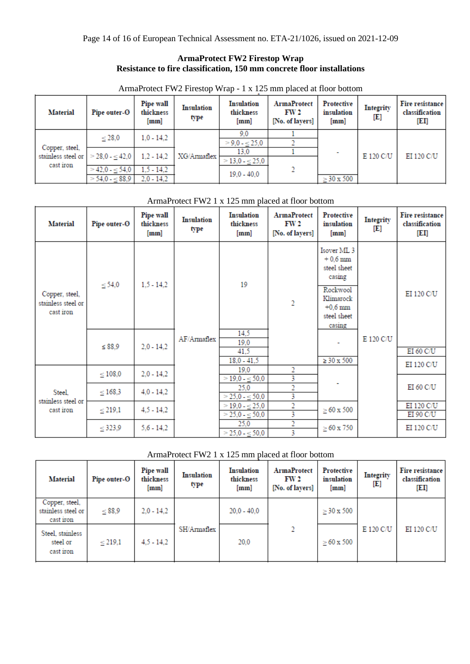### **ArmaProtect FW2 Firestop Wrap Resistance to fire classification, 150 mm concrete floor installations**

| ArmaProtect FW2 Firestop Wrap - 1 x 125 mm placed at floor bottom |  |  |
|-------------------------------------------------------------------|--|--|
|-------------------------------------------------------------------|--|--|

| <b>Material</b>                 | Pipe outer-O           | Pipe wall<br>thickness<br>[mm] | <b>Insulation</b><br>type | <b>Insulation</b><br>thickness<br>[mm] | <b>ArmaProtect</b><br>FW <sub>2</sub><br>[No. of layers] | Protective<br>insulation<br>[mm] | <b>Integrity</b><br>[E] | Fire resistance<br>classification<br>[EI] |
|---------------------------------|------------------------|--------------------------------|---------------------------|----------------------------------------|----------------------------------------------------------|----------------------------------|-------------------------|-------------------------------------------|
|                                 | < 28.0                 | $1,0 - 14,2$                   |                           | 9.0                                    |                                                          |                                  |                         |                                           |
|                                 |                        |                                | XG/Armaflex               | $>$ 9.0 - < 25.0                       |                                                          |                                  | E 120 C/U               | EI 120 C/U                                |
| Copper, steel,                  |                        |                                |                           | 13.0                                   |                                                          |                                  |                         |                                           |
| stainless steel or<br>cast iron | $>$ 28,0 - $\leq$ 42,0 | $1,2 - 14,2$                   |                           | $>$ 13,0 - $\leq$ 25,0                 |                                                          |                                  |                         |                                           |
|                                 | $>$ 42.0 - < 54.0      | $1.5 - 14.2$                   |                           | $19.0 - 40.0$                          | п.                                                       |                                  |                         |                                           |
|                                 | $>$ 54,0 - $\leq$ 88,9 | $2.0 - 14.2$                   |                           |                                        |                                                          | $\geq$ 30 x 500                  |                         |                                           |

| <b>Material</b>                                   | Pipe outer-O | Pipe wall<br>thickness<br>[mm] | <b>Insulation</b><br>type | <b>Insulation</b><br>thickness<br>[mm] | <b>ArmaProtect</b><br>FW 2<br>[No. of layers] | <b>Protective</b><br>insulation<br>[mm]                                                                           | <b>Integrity</b><br>[E] | Fire resistance<br>classification<br>[EI] |            |
|---------------------------------------------------|--------------|--------------------------------|---------------------------|----------------------------------------|-----------------------------------------------|-------------------------------------------------------------------------------------------------------------------|-------------------------|-------------------------------------------|------------|
| Copper, steel,<br>stainless steel or<br>cast iron | $\leq 54.0$  | $1, 5 - 14, 2$                 |                           | 19                                     | $\overline{2}$                                | Isover ML <sub>3</sub><br>$+0.6$ mm<br>steel sheet<br>casing<br>Rockwool<br>Klimarock<br>$+0.6$ mm<br>steel sheet |                         | EI 120 C/U                                |            |
|                                                   | $\leq$ 88.9  | $2,0 - 14,2$                   | AF/Armaflex               |                                        | 14.5<br>19.0<br>41.5                          |                                                                                                                   | casing                  | E 120 C/U                                 | EI 60 C/U  |
|                                                   |              |                                |                           | $18.0 - 41.5$                          |                                               | $\geq$ 30 x 500                                                                                                   |                         | EI 120 C/U                                |            |
|                                                   | $\leq 108.0$ | $2,0 - 14,2$                   |                           | 19.0                                   | 2                                             |                                                                                                                   |                         |                                           |            |
|                                                   |              |                                |                           | $>$ 19,0 - $\leq$ 50,0                 | 3                                             |                                                                                                                   |                         |                                           |            |
| Steel,                                            | $\leq 168.3$ | $4,0 - 14,2$                   |                           | 25,0<br>$>$ 25,0 - $\leq$ 50,0         | $\overline{2}$<br>3                           |                                                                                                                   |                         | EI 60 C/U                                 |            |
| stainless steel or                                |              |                                |                           | $>$ 19,0 - $\leq$ 25,0                 | $\overline{2}$                                |                                                                                                                   |                         | EI 120 C/U                                |            |
| cast iron                                         | $\leq 219.1$ | $4,5 - 14,2$                   |                           | $>$ 25,0 - $\leq$ 50,0                 | 3                                             | $\geq 60$ x 500                                                                                                   |                         | EI 90 C/U                                 |            |
|                                                   |              | < 323.9                        | $5,6 - 14,2$              |                                        | 25,0                                          | $\overline{2}$                                                                                                    | $\geq 60$ x 750         |                                           | EI 120 C/U |
|                                                   |              |                                |                           | $>$ 25,0 - $\leq$ 50,0                 | 3                                             |                                                                                                                   |                         |                                           |            |

# ArmaProtect FW2 1 x 125 mm placed at floor bottom

# ArmaProtect FW2 1 x 125 mm placed at floor bottom

| <b>Material</b>                                   | Pipe outer-O | Pipe wall<br>thickness<br>[mm] | <b>Insulation</b><br>type | <b>Insulation</b><br>thickness<br>[mm] | <b>ArmaProtect</b><br>FW <sub>2</sub><br>[No. of layers] | <b>Protective</b><br>insulation<br>[mm] | Integrity<br>[E] | Fire resistance<br>classification<br>[EI] |
|---------------------------------------------------|--------------|--------------------------------|---------------------------|----------------------------------------|----------------------------------------------------------|-----------------------------------------|------------------|-------------------------------------------|
| Copper, steel,<br>stainless steel or<br>cast iron | $\leq$ 88,9  | $2.0 - 14.2$                   |                           | $20.0 - 40.0$                          |                                                          | $\geq$ 30 x 500                         |                  |                                           |
| Steel, stainless<br>steel or<br>cast iron         | $\leq 219.1$ | $4.5 - 14.2$                   | SH/Armaflex               | 20.0                                   |                                                          | $\geq 60 \times 500$                    | E 120 C/U        | EI 120 C/U                                |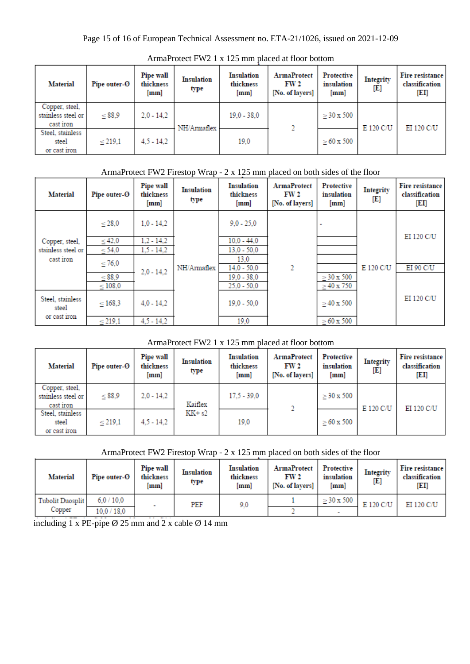| <b>Material</b>                                   | Pipe outer-O | Pipe wall<br>thickness<br>[mm] | <b>Insulation</b><br>type | <b>Insulation</b><br>thickness<br>[mm] | <b>ArmaProtect</b><br>FW <sub>2</sub><br>[No. of layers] | Protective<br>insulation<br>[mm] | <b>Integrity</b><br>[E] | Fire resistance<br>classification<br>[EI] |
|---------------------------------------------------|--------------|--------------------------------|---------------------------|----------------------------------------|----------------------------------------------------------|----------------------------------|-------------------------|-------------------------------------------|
| Copper, steel,<br>stainless steel or<br>cast iron | $\leq$ 88,9  | $2.0 - 14.2$                   | NH/Armaflex               | $19.0 - 38.0$                          |                                                          | $\geq$ 30 x 500                  | E 120 C/U               | EI 120 C/U                                |
| Steel, stainless<br>steel<br>or cast iron         | < 219.1      | $4,5 - 14,2$                   |                           | 19,0                                   |                                                          | $> 60 \times 500$                |                         |                                           |

ArmaProtect FW2 1 x 125 mm placed at floor bottom

# ArmaProtect FW2 Firestop Wrap - 2 x 125 mm placed on both sides of the floor

| <b>Material</b>           | Pipe outer-O | Pipe wall<br>thickness<br>[mm] | <b>Insulation</b><br>type | <b>Insulation</b><br>thickness<br>[mm] | <b>ArmaProtect</b><br>FW <sub>2</sub><br>[No. of layers] | Protective<br>insulation<br>[mm] | Integrity<br>[E]  | Fire resistance<br>classification<br>[EI] |           |
|---------------------------|--------------|--------------------------------|---------------------------|----------------------------------------|----------------------------------------------------------|----------------------------------|-------------------|-------------------------------------------|-----------|
|                           | < 28.0       | $1,0 - 14,2$                   |                           | $9.0 - 25.0$                           |                                                          |                                  |                   |                                           |           |
| Copper, steel,            | $\leq 42,0$  | $1,2 - 14,2$                   |                           | $10.0 - 44.0$                          |                                                          |                                  |                   | EI 120 C/U                                |           |
| stainless steel or        | $\leq$ 54,0  | $1,5 - 14,2$                   | NH/Armaflex               | $13.0 - 50.0$                          |                                                          |                                  |                   |                                           |           |
| cast iron                 | $\leq 76.0$  | $2.0 - 14.2$                   |                           |                                        | 13.0<br>$14.0 - 50.0$                                    | 2                                |                   | E 120 C/U                                 | EI 90 C/U |
|                           | $\leq$ 88,9  |                                |                           |                                        | $19.0 - 38.0$                                            |                                  | $> 30 \times 500$ |                                           |           |
|                           | $\leq 108.0$ |                                |                           | $25.0 - 50.0$                          |                                                          | $\geq$ 40 x 750                  |                   |                                           |           |
| Steel, stainless<br>steel | < 168.3      | $4.0 - 14.2$                   |                           | $19.0 - 50.0$                          |                                                          | $>40 \times 500$                 |                   | EI 120 C/U                                |           |
| or cast iron              | $\leq 219,1$ | $4.5 - 14.2$                   |                           | 19.0                                   |                                                          | $\geq 60 \times 500$             |                   |                                           |           |

### ArmaProtect FW2 1 x 125 mm placed at floor bottom

| <b>Material</b>                                   | Pipe outer-O | Pipe wall<br>thickness<br>[mm] | <b>Insulation</b><br>type | <b>Insulation</b><br>thickness<br>[mm] | <b>ArmaProtect</b><br>FW 2<br>[No. of layers] | Protective<br>insulation<br>[mm] | <b>Integrity</b><br>[E] | Fire resistance<br>classification<br>[EI] |
|---------------------------------------------------|--------------|--------------------------------|---------------------------|----------------------------------------|-----------------------------------------------|----------------------------------|-------------------------|-------------------------------------------|
| Copper, steel,<br>stainless steel or<br>cast iron | $\leq$ 88,9  | $2.0 - 14.2$                   | Kaiflex                   | $17.5 - 39.0$                          |                                               | $\geq$ 30 x 500                  | E 120 C/U               | EI 120 C/U                                |
| Steel, stainless<br>steel<br>or cast iron         | < 219.1      | $4,5 - 14,2$                   | $KK + s2$                 | 19,0                                   |                                               | $> 60 \times 500$                |                         |                                           |

### ArmaProtect FW2 Firestop Wrap - 2 x 125 mm placed on both sides of the floor

| <b>Material</b>  | Pipe outer-O | <b>Pipe wall</b><br>thickness<br>[mm] | <b>Insulation</b><br>type | Insulation<br>thickness<br>[mm] | <b>ArmaProtect</b><br>FW 2<br>[No. of lavers] | Protective<br>insulation<br>[mm] | Integrity<br>[E] | Fire resistance<br>classification<br>[EI] |
|------------------|--------------|---------------------------------------|---------------------------|---------------------------------|-----------------------------------------------|----------------------------------|------------------|-------------------------------------------|
| Tubolit Duosplit | 6.0 / 10.0   |                                       | PEF                       | 9,0                             |                                               | $> 30 \times 500$                | E 120 C/U        | EI 120 C/U                                |
| Copper           | 10,0/18,0    |                                       |                           |                                 |                                               | $\overline{\phantom{a}}$         |                  |                                           |

including  $1 \times$  PE-pipe  $\emptyset$  25 mm and 2 x cable  $\emptyset$  14 mm